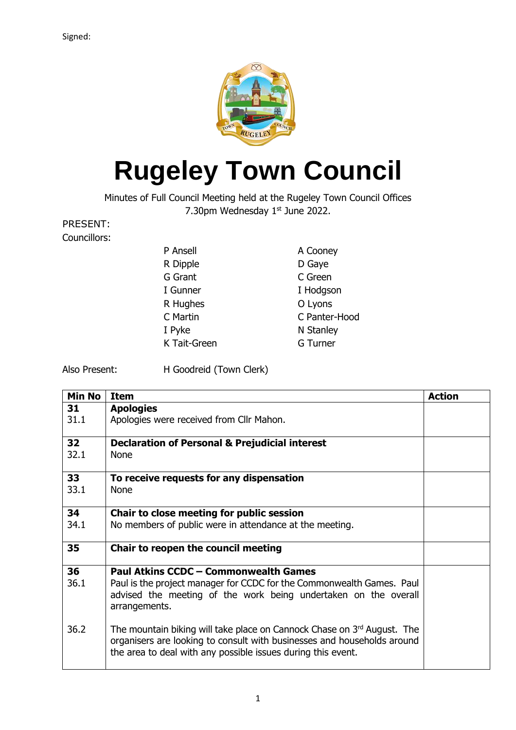

## **Rugeley Town Council**

Minutes of Full Council Meeting held at the Rugeley Town Council Offices 7.30pm Wednesday  $1<sup>st</sup>$  June 2022.

PRESENT: Councillors:

| P Ansell     | A Cooney        |
|--------------|-----------------|
| R Dipple     | D Gaye          |
| G Grant      | C Green         |
| I Gunner     | I Hodgson       |
| R Hughes     | O Lyons         |
| C Martin     | C Panter-Hood   |
| I Pyke       | N Stanley       |
| K Tait-Green | <b>G</b> Turner |
|              |                 |

Also Present: H Goodreid (Town Clerk)

| <b>Min No</b> | <b>Item</b>                                                                                                                                                                                                        | <b>Action</b> |
|---------------|--------------------------------------------------------------------------------------------------------------------------------------------------------------------------------------------------------------------|---------------|
| 31            | <b>Apologies</b>                                                                                                                                                                                                   |               |
| 31.1          | Apologies were received from Cllr Mahon.                                                                                                                                                                           |               |
| 32            | <b>Declaration of Personal &amp; Prejudicial interest</b>                                                                                                                                                          |               |
| 32.1          | <b>None</b>                                                                                                                                                                                                        |               |
| 33            | To receive requests for any dispensation                                                                                                                                                                           |               |
| 33.1          | <b>None</b>                                                                                                                                                                                                        |               |
| 34            | Chair to close meeting for public session                                                                                                                                                                          |               |
| 34.1          | No members of public were in attendance at the meeting.                                                                                                                                                            |               |
| 35            | Chair to reopen the council meeting                                                                                                                                                                                |               |
| 36            | <b>Paul Atkins CCDC - Commonwealth Games</b>                                                                                                                                                                       |               |
| 36.1          | Paul is the project manager for CCDC for the Commonwealth Games. Paul<br>advised the meeting of the work being undertaken on the overall<br>arrangements.                                                          |               |
| 36.2          | The mountain biking will take place on Cannock Chase on 3rd August. The<br>organisers are looking to consult with businesses and households around<br>the area to deal with any possible issues during this event. |               |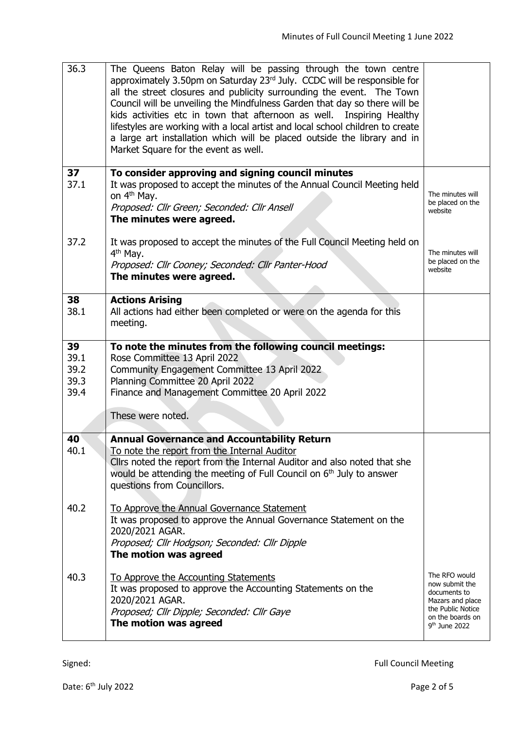| 36.3                               | The Queens Baton Relay will be passing through the town centre<br>approximately 3.50pm on Saturday 23 <sup>rd</sup> July. CCDC will be responsible for<br>all the street closures and publicity surrounding the event. The Town<br>Council will be unveiling the Mindfulness Garden that day so there will be<br>kids activities etc in town that afternoon as well. Inspiring Healthy<br>lifestyles are working with a local artist and local school children to create<br>a large art installation which will be placed outside the library and in<br>Market Square for the event as well. |                                                                                                                                 |
|------------------------------------|----------------------------------------------------------------------------------------------------------------------------------------------------------------------------------------------------------------------------------------------------------------------------------------------------------------------------------------------------------------------------------------------------------------------------------------------------------------------------------------------------------------------------------------------------------------------------------------------|---------------------------------------------------------------------------------------------------------------------------------|
| 37<br>37.1                         | To consider approving and signing council minutes<br>It was proposed to accept the minutes of the Annual Council Meeting held<br>on 4 <sup>th</sup> May.<br>Proposed: Cllr Green; Seconded: Cllr Ansell<br>The minutes were agreed.                                                                                                                                                                                                                                                                                                                                                          | The minutes will<br>be placed on the<br>website                                                                                 |
| 37.2                               | It was proposed to accept the minutes of the Full Council Meeting held on<br>4 <sup>th</sup> May.<br>Proposed: Cllr Cooney; Seconded: Cllr Panter-Hood<br>The minutes were agreed.                                                                                                                                                                                                                                                                                                                                                                                                           | The minutes will<br>be placed on the<br>website                                                                                 |
| 38<br>38.1                         | <b>Actions Arising</b><br>All actions had either been completed or were on the agenda for this<br>meeting.                                                                                                                                                                                                                                                                                                                                                                                                                                                                                   |                                                                                                                                 |
| 39<br>39.1<br>39.2<br>39.3<br>39.4 | To note the minutes from the following council meetings:<br>Rose Committee 13 April 2022<br>Community Engagement Committee 13 April 2022<br>Planning Committee 20 April 2022<br>Finance and Management Committee 20 April 2022<br>These were noted.                                                                                                                                                                                                                                                                                                                                          |                                                                                                                                 |
| 40<br>40.1                         | <b>Annual Governance and Accountability Return</b><br>To note the report from the Internal Auditor<br>Cllrs noted the report from the Internal Auditor and also noted that she<br>would be attending the meeting of Full Council on 6 <sup>th</sup> July to answer<br>questions from Councillors.                                                                                                                                                                                                                                                                                            |                                                                                                                                 |
| 40.2                               | To Approve the Annual Governance Statement<br>It was proposed to approve the Annual Governance Statement on the<br>2020/2021 AGAR.<br>Proposed; Cllr Hodgson; Seconded: Cllr Dipple<br>The motion was agreed                                                                                                                                                                                                                                                                                                                                                                                 |                                                                                                                                 |
| 40.3                               | To Approve the Accounting Statements<br>It was proposed to approve the Accounting Statements on the<br>2020/2021 AGAR.<br>Proposed; Cllr Dipple; Seconded: Cllr Gaye<br>The motion was agreed                                                                                                                                                                                                                                                                                                                                                                                                | The RFO would<br>now submit the<br>documents to<br>Mazars and place<br>the Public Notice<br>on the boards on<br>$9th$ June 2022 |

Signed: Signed: The South of the South of the Signed Signed: The South of the South of the South of the South of the South of the South of the South of the South of the South of the South of the South of the South of the S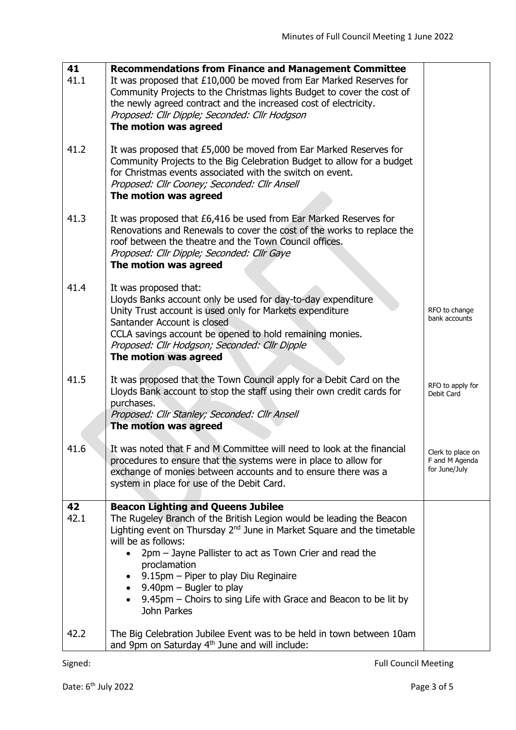| 41         | <b>Recommendations from Finance and Management Committee</b>                                                                                                                                                                                                                                                                                                                                                                                                                          |                                                      |
|------------|---------------------------------------------------------------------------------------------------------------------------------------------------------------------------------------------------------------------------------------------------------------------------------------------------------------------------------------------------------------------------------------------------------------------------------------------------------------------------------------|------------------------------------------------------|
| 41.1       | It was proposed that £10,000 be moved from Ear Marked Reserves for<br>Community Projects to the Christmas lights Budget to cover the cost of<br>the newly agreed contract and the increased cost of electricity.<br>Proposed: Cllr Dipple; Seconded: Cllr Hodgson<br>The motion was agreed                                                                                                                                                                                            |                                                      |
| 41.2       | It was proposed that £5,000 be moved from Ear Marked Reserves for<br>Community Projects to the Big Celebration Budget to allow for a budget<br>for Christmas events associated with the switch on event.<br>Proposed: Cllr Cooney; Seconded: Cllr Ansell<br>The motion was agreed                                                                                                                                                                                                     |                                                      |
| 41.3       | It was proposed that £6,416 be used from Ear Marked Reserves for<br>Renovations and Renewals to cover the cost of the works to replace the<br>roof between the theatre and the Town Council offices.<br>Proposed: Cllr Dipple; Seconded: Cllr Gaye<br>The motion was agreed                                                                                                                                                                                                           |                                                      |
| 41.4       | It was proposed that:<br>Lloyds Banks account only be used for day-to-day expenditure<br>Unity Trust account is used only for Markets expenditure<br>Santander Account is closed<br>CCLA savings account be opened to hold remaining monies.<br>Proposed: Cllr Hodgson; Seconded: Cllr Dipple<br>The motion was agreed                                                                                                                                                                | RFO to change<br>bank accounts                       |
| 41.5       | It was proposed that the Town Council apply for a Debit Card on the<br>Lloyds Bank account to stop the staff using their own credit cards for<br>purchases.<br>Proposed: Cllr Stanley; Seconded: Cllr Ansell<br>The motion was agreed                                                                                                                                                                                                                                                 | RFO to apply for<br>Debit Card                       |
| 41.6       | It was noted that F and M Committee will need to look at the financial<br>procedures to ensure that the systems were in place to allow for<br>exchange of monies between accounts and to ensure there was a<br>system in place for use of the Debit Card.                                                                                                                                                                                                                             | Clerk to place on<br>F and M Agenda<br>for June/July |
| 42<br>42.1 | <b>Beacon Lighting and Queens Jubilee</b><br>The Rugeley Branch of the British Legion would be leading the Beacon<br>Lighting event on Thursday 2 <sup>nd</sup> June in Market Square and the timetable<br>will be as follows:<br>2pm - Jayne Pallister to act as Town Crier and read the<br>$\bullet$<br>proclamation<br>9.15pm - Piper to play Diu Reginaire<br>$9.40 \text{pm} -$ Bugler to play<br>9.45pm – Choirs to sing Life with Grace and Beacon to be lit by<br>John Parkes |                                                      |
| 42.2       | The Big Celebration Jubilee Event was to be held in town between 10am<br>and 9pm on Saturday 4 <sup>th</sup> June and will include:                                                                                                                                                                                                                                                                                                                                                   |                                                      |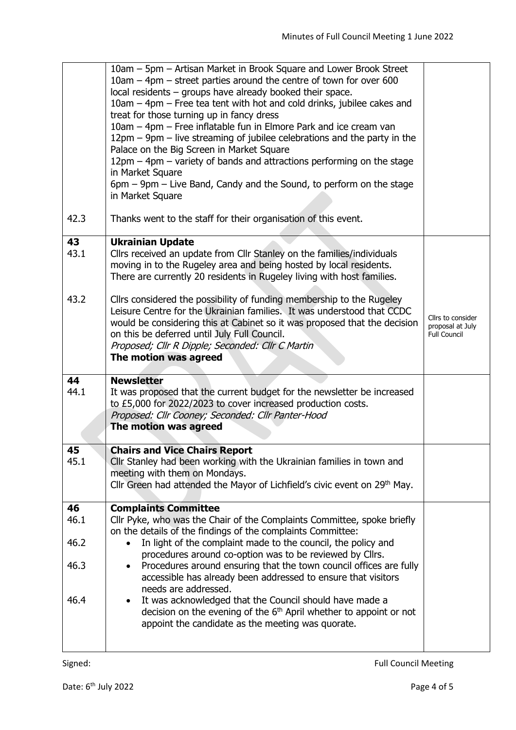|            | 10am - 5pm - Artisan Market in Brook Square and Lower Brook Street<br>$10$ am $-$ 4pm $-$ street parties around the centre of town for over 600<br>local residents - groups have already booked their space.<br>10am – 4pm – Free tea tent with hot and cold drinks, jubilee cakes and<br>treat for those turning up in fancy dress<br>10am - 4pm - Free inflatable fun in Elmore Park and ice cream van<br>12pm - 9pm - live streaming of jubilee celebrations and the party in the<br>Palace on the Big Screen in Market Square<br>12pm – 4pm – variety of bands and attractions performing on the stage<br>in Market Square |                                                              |
|------------|--------------------------------------------------------------------------------------------------------------------------------------------------------------------------------------------------------------------------------------------------------------------------------------------------------------------------------------------------------------------------------------------------------------------------------------------------------------------------------------------------------------------------------------------------------------------------------------------------------------------------------|--------------------------------------------------------------|
|            | 6pm – 9pm – Live Band, Candy and the Sound, to perform on the stage<br>in Market Square                                                                                                                                                                                                                                                                                                                                                                                                                                                                                                                                        |                                                              |
| 42.3       | Thanks went to the staff for their organisation of this event.                                                                                                                                                                                                                                                                                                                                                                                                                                                                                                                                                                 |                                                              |
| 43<br>43.1 | <b>Ukrainian Update</b><br>Cllrs received an update from Cllr Stanley on the families/individuals<br>moving in to the Rugeley area and being hosted by local residents.<br>There are currently 20 residents in Rugeley living with host families.                                                                                                                                                                                                                                                                                                                                                                              |                                                              |
| 43.2       | Cllrs considered the possibility of funding membership to the Rugeley<br>Leisure Centre for the Ukrainian families. It was understood that CCDC<br>would be considering this at Cabinet so it was proposed that the decision<br>on this be deferred until July Full Council.<br>Proposed; Cllr R Dipple; Seconded: Cllr C Martin<br>The motion was agreed                                                                                                                                                                                                                                                                      | Clirs to consider<br>proposal at July<br><b>Full Council</b> |
| 44<br>44.1 | <b>Newsletter</b><br>It was proposed that the current budget for the newsletter be increased<br>to £5,000 for 2022/2023 to cover increased production costs.<br>Proposed: Cllr Cooney; Seconded: Cllr Panter-Hood<br>The motion was agreed                                                                                                                                                                                                                                                                                                                                                                                     |                                                              |
| 45<br>45.1 | <b>Chairs and Vice Chairs Report</b><br>Cllr Stanley had been working with the Ukrainian families in town and<br>meeting with them on Mondays.<br>Cllr Green had attended the Mayor of Lichfield's civic event on 29 <sup>th</sup> May.                                                                                                                                                                                                                                                                                                                                                                                        |                                                              |
| 46<br>46.1 | <b>Complaints Committee</b><br>Cllr Pyke, who was the Chair of the Complaints Committee, spoke briefly                                                                                                                                                                                                                                                                                                                                                                                                                                                                                                                         |                                                              |
| 46.2       | on the details of the findings of the complaints Committee:<br>In light of the complaint made to the council, the policy and                                                                                                                                                                                                                                                                                                                                                                                                                                                                                                   |                                                              |
| 46.3       | procedures around co-option was to be reviewed by Cllrs.<br>Procedures around ensuring that the town council offices are fully<br>$\bullet$<br>accessible has already been addressed to ensure that visitors<br>needs are addressed.                                                                                                                                                                                                                                                                                                                                                                                           |                                                              |
| 46.4       | It was acknowledged that the Council should have made a<br>$\bullet$<br>decision on the evening of the $6th$ April whether to appoint or not<br>appoint the candidate as the meeting was quorate.                                                                                                                                                                                                                                                                                                                                                                                                                              |                                                              |